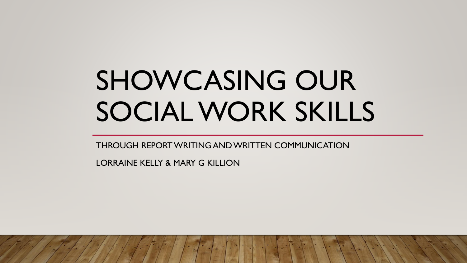## SHOWCASING OUR SOCIAL WORK SKILLS

THROUGH REPORT WRITING AND WRITTEN COMMUNICATION

LORRAINE KELLY & MARY G KILLION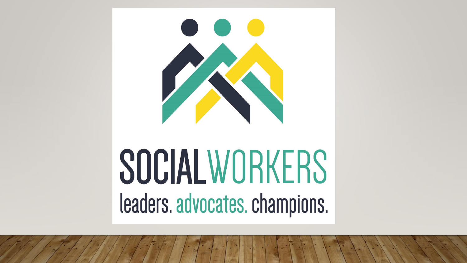

# **SOCIAL WORKERS** leaders. advocates. champions.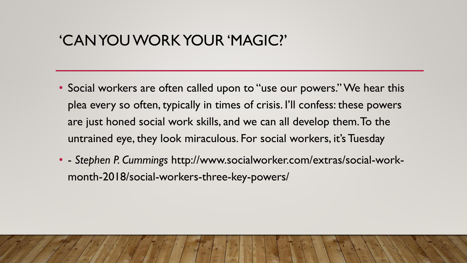#### 'CAN YOU WORK YOUR 'MAGIC?'

- Social workers are often called upon to "use our powers." We hear this plea every so often, typically in times of crisis. I'll confess: these powers are just honed social work skills, and we can all develop them. To the untrained eye, they look miraculous. For social workers, it's Tuesday
- - *Stephen P. Cummings* http://www.socialworker.com/extras/social-workmonth-2018/social-workers-three-key-powers/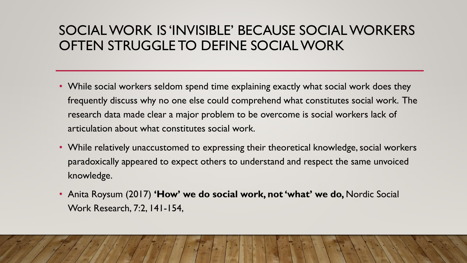#### SOCIAL WORK IS 'INVISIBLE' BECAUSE SOCIAL WORKERS OFTEN STRUGGLE TO DEFINE SOCIAL WORK

- While social workers seldom spend time explaining exactly what social work does they frequently discuss why no one else could comprehend what constitutes social work. The research data made clear a major problem to be overcome is social workers lack of articulation about what constitutes social work.
- While relatively unaccustomed to expressing their theoretical knowledge, social workers paradoxically appeared to expect others to understand and respect the same unvoiced knowledge.
- Anita Roysum (2017) **'How' we do social work, not 'what' we do,** Nordic Social Work Research, 7:2, 141-154,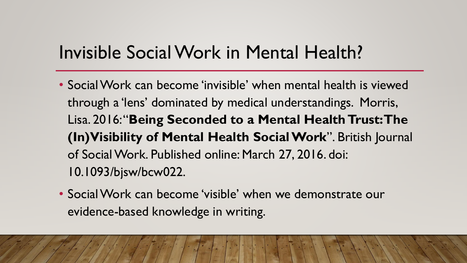## Invisible Social Work in Mental Health?

- Social Work can become 'invisible' when mental health is viewed through a 'lens' dominated by medical understandings. Morris, Lisa. 2016: "**Being Seconded to a Mental Health Trust: The (In)Visibility of Mental Health Social Work**". British Journal of Social Work. Published online: March 27, 2016. doi: 10.1093/bjsw/bcw022.
- Social Work can become 'visible' when we demonstrate our evidence-based knowledge in writing.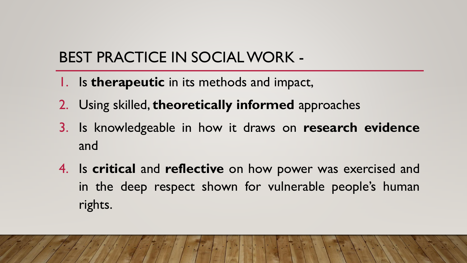## BEST PRACTICE IN SOCIAL WORK -

- 1. Is **therapeutic** in its methods and impact,
- 2. Using skilled, **theoretically informed** approaches
- 3. Is knowledgeable in how it draws on **research evidence** and
- 4. Is **critical** and **reflective** on how power was exercised and in the deep respect shown for vulnerable people's human rights.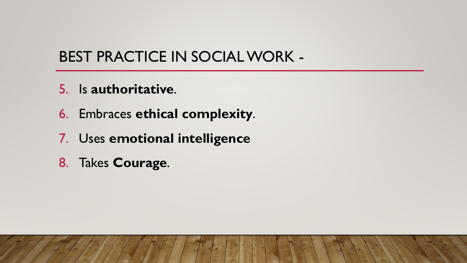## BEST PRACTICE IN SOCIAL WORK -

- 5. Is **authoritative**.
- 6. Embraces **ethical complexity**.
- 7. Uses **emotional intelligence**
- 8. Takes **Courage**.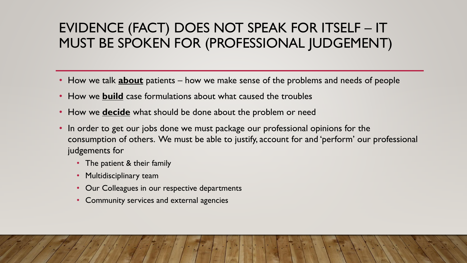#### EVIDENCE (FACT) DOES NOT SPEAK FOR ITSELF – IT MUST BE SPOKEN FOR (PROFESSIONAL JUDGEMENT)

- How we talk **about** patients how we make sense of the problems and needs of people
- How we **build** case formulations about what caused the troubles
- How we **decide** what should be done about the problem or need
- In order to get our jobs done we must package our professional opinions for the consumption of others. We must be able to justify, account for and 'perform' our professional judgements for
	- The patient & their family
	- Multidisciplinary team
	- Our Colleagues in our respective departments
	- Community services and external agencies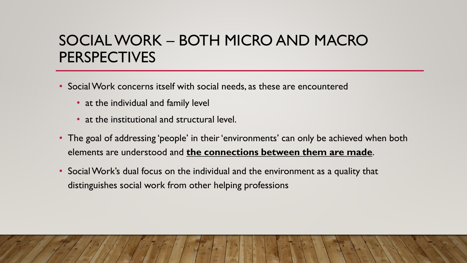### SOCIAL WORK – BOTH MICRO AND MACRO PERSPECTIVES

- Social Work concerns itself with social needs, as these are encountered
	- at the individual and family level
	- at the institutional and structural level.
- The goal of addressing 'people' in their 'environments' can only be achieved when both elements are understood and **the connections between them are made**.
- Social Work's dual focus on the individual and the environment as a quality that distinguishes social work from other helping professions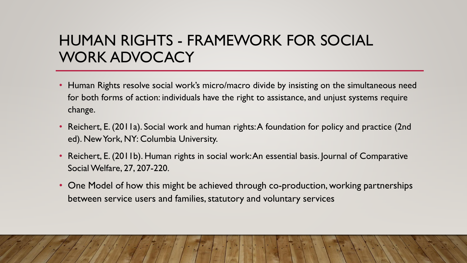### HUMAN RIGHTS - FRAMEWORK FOR SOCIAL WORK ADVOCACY

- Human Rights resolve social work's micro/macro divide by insisting on the simultaneous need for both forms of action: individuals have the right to assistance, and unjust systems require change.
- Reichert, E. (2011a). Social work and human rights: A foundation for policy and practice (2nd ed). New York, NY: Columbia University.
- Reichert, E. (2011b). Human rights in social work: An essential basis. Journal of Comparative Social Welfare, 27, 207-220.
- One Model of how this might be achieved through co-production, working partnerships between service users and families, statutory and voluntary services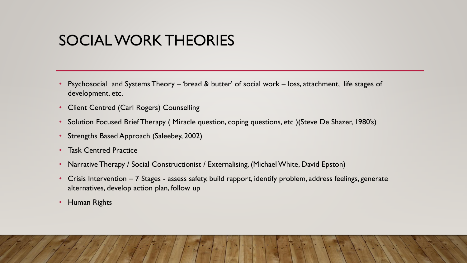#### SOCIAL WORK THEORIES

- Psychosocial and Systems Theory 'bread & butter' of social work loss, attachment, life stages of development, etc.
- Client Centred (Carl Rogers) Counselling
- Solution Focused Brief Therapy (Miracle question, coping questions, etc ) (Steve De Shazer, 1980's)
- Strengths Based Approach (Saleebey, 2002)
- Task Centred Practice
- Narrative Therapy / Social Constructionist / Externalising, (Michael White, David Epston)
- Crisis Intervention 7 Stages assess safety, build rapport, identify problem, address feelings, generate alternatives, develop action plan, follow up
- Human Rights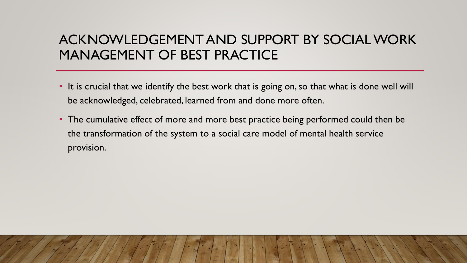#### ACKNOWLEDGEMENT AND SUPPORT BY SOCIAL WORK MANAGEMENT OF BEST PRACTICE

- It is crucial that we identify the best work that is going on, so that what is done well will be acknowledged, celebrated, learned from and done more often.
- The cumulative effect of more and more best practice being performed could then be the transformation of the system to a social care model of mental health service provision.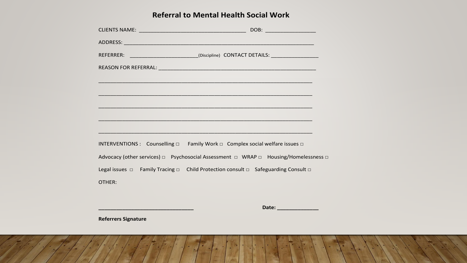#### **Referral to Mental Health Social Work**

|        | REFERRER: _________________________(Discipline) CONTACT DETAILS: _______________                                        |  |
|--------|-------------------------------------------------------------------------------------------------------------------------|--|
|        |                                                                                                                         |  |
|        | <u> An Aontaithe ann an Chomhair ann an Chomhair ann an Chomhair ann an Chomhair ann an Chomhair ann an Chomhair a </u> |  |
|        | <u> 1980 - Jan Barthard Barbara, marka a shekara ta 1980 - An tsara tsara tsara tsara tsara tsara tsara tsara tsa</u>   |  |
|        | <u> 1989 - Johann Stoff, Amerikaansk politiker (* 1908)</u>                                                             |  |
|        |                                                                                                                         |  |
|        |                                                                                                                         |  |
|        | INTERVENTIONS : Counselling □ Family Work □ Complex social welfare issues □                                             |  |
|        | Advocacy (other services) □ Psychosocial Assessment □ WRAP □ Housing/Homelessness □                                     |  |
|        | Legal issues $\Box$ Family Tracing $\Box$ Child Protection consult $\Box$ Safeguarding Consult $\Box$                   |  |
| OTHER: |                                                                                                                         |  |

**\_\_\_\_\_\_\_\_\_\_\_\_\_\_\_\_\_\_\_\_\_\_\_\_\_\_\_\_\_\_\_\_ Date: \_\_\_\_\_\_\_\_\_\_\_\_\_\_**

**Referrers Signature**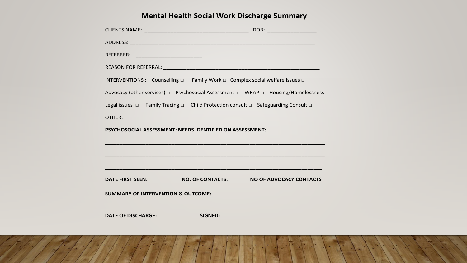#### **Mental Health Social Work Discharge Summary**

|                                                                                                       |                                                                                                                       | DOB: ___________________                                                            |  |
|-------------------------------------------------------------------------------------------------------|-----------------------------------------------------------------------------------------------------------------------|-------------------------------------------------------------------------------------|--|
|                                                                                                       |                                                                                                                       |                                                                                     |  |
| REFERRER: ______________________________                                                              |                                                                                                                       |                                                                                     |  |
|                                                                                                       |                                                                                                                       |                                                                                     |  |
| INTERVENTIONS : Counselling $\Box$ Family Work $\Box$ Complex social welfare issues $\Box$            |                                                                                                                       |                                                                                     |  |
|                                                                                                       |                                                                                                                       | Advocacy (other services) □ Psychosocial Assessment □ WRAP □ Housing/Homelessness □ |  |
| Legal issues $\Box$ Family Tracing $\Box$ Child Protection consult $\Box$ Safeguarding Consult $\Box$ |                                                                                                                       |                                                                                     |  |
| OTHER:                                                                                                |                                                                                                                       |                                                                                     |  |
| PSYCHOSOCIAL ASSESSMENT: NEEDS IDENTIFIED ON ASSESSMENT:                                              |                                                                                                                       |                                                                                     |  |
|                                                                                                       | <u> 1989 - Johann Stoff, deutscher Stoff, der Stoff, der Stoff, der Stoff, der Stoff, der Stoff, der Stoff, der S</u> |                                                                                     |  |
|                                                                                                       |                                                                                                                       |                                                                                     |  |
|                                                                                                       |                                                                                                                       |                                                                                     |  |
| DATE FIRST SEEN:                                                                                      |                                                                                                                       | NO. OF CONTACTS: NO OF ADVOCACY CONTACTS                                            |  |
| <b>SUMMARY OF INTERVENTION &amp; OUTCOME:</b>                                                         |                                                                                                                       |                                                                                     |  |
|                                                                                                       |                                                                                                                       |                                                                                     |  |
| <b>DATE OF DISCHARGE:</b>                                                                             | <b>SIGNED:</b>                                                                                                        |                                                                                     |  |